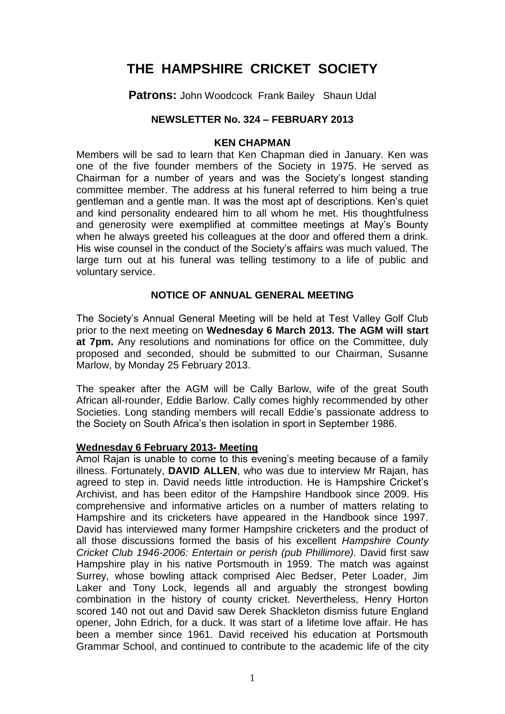# **THE HAMPSHIRE CRICKET SOCIETY**

**Patrons:** John Woodcock Frank Bailey Shaun Udal

# **NEWSLETTER No. 324 – FEBRUARY 2013**

#### **KEN CHAPMAN**

Members will be sad to learn that Ken Chapman died in January. Ken was one of the five founder members of the Society in 1975. He served as Chairman for a number of years and was the Society's longest standing committee member. The address at his funeral referred to him being a true gentleman and a gentle man. It was the most apt of descriptions. Ken's quiet and kind personality endeared him to all whom he met. His thoughtfulness and generosity were exemplified at committee meetings at May's Bounty when he always greeted his colleagues at the door and offered them a drink. His wise counsel in the conduct of the Society's affairs was much valued. The large turn out at his funeral was telling testimony to a life of public and voluntary service.

# **NOTICE OF ANNUAL GENERAL MEETING**

The Society's Annual General Meeting will be held at Test Valley Golf Club prior to the next meeting on **Wednesday 6 March 2013. The AGM will start at 7pm.** Any resolutions and nominations for office on the Committee, duly proposed and seconded, should be submitted to our Chairman, Susanne Marlow, by Monday 25 February 2013.

The speaker after the AGM will be Cally Barlow, wife of the great South African all-rounder, Eddie Barlow. Cally comes highly recommended by other Societies. Long standing members will recall Eddie's passionate address to the Society on South Africa's then isolation in sport in September 1986.

## **Wednesday 6 February 2013- Meeting**

Amol Rajan is unable to come to this evening's meeting because of a family illness. Fortunately, **DAVID ALLEN**, who was due to interview Mr Rajan, has agreed to step in. David needs little introduction. He is Hampshire Cricket's Archivist, and has been editor of the Hampshire Handbook since 2009. His comprehensive and informative articles on a number of matters relating to Hampshire and its cricketers have appeared in the Handbook since 1997. David has interviewed many former Hampshire cricketers and the product of all those discussions formed the basis of his excellent *Hampshire County Cricket Club 1946-2006: Entertain or perish (pub Phillimore).* David first saw Hampshire play in his native Portsmouth in 1959. The match was against Surrey, whose bowling attack comprised Alec Bedser, Peter Loader, Jim Laker and Tony Lock, legends all and arguably the strongest bowling combination in the history of county cricket. Nevertheless, Henry Horton scored 140 not out and David saw Derek Shackleton dismiss future England opener, John Edrich, for a duck. It was start of a lifetime love affair. He has been a member since 1961. David received his education at Portsmouth Grammar School, and continued to contribute to the academic life of the city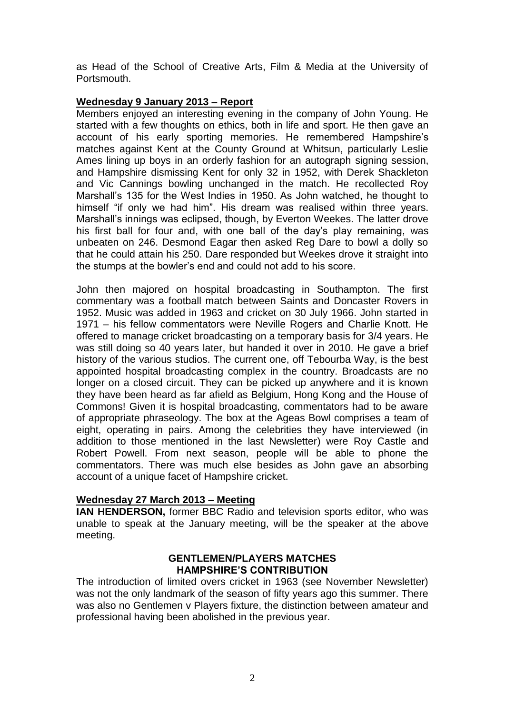as Head of the School of Creative Arts, Film & Media at the University of Portsmouth.

## **Wednesday 9 January 2013 – Report**

Members enjoyed an interesting evening in the company of John Young. He started with a few thoughts on ethics, both in life and sport. He then gave an account of his early sporting memories. He remembered Hampshire's matches against Kent at the County Ground at Whitsun, particularly Leslie Ames lining up boys in an orderly fashion for an autograph signing session, and Hampshire dismissing Kent for only 32 in 1952, with Derek Shackleton and Vic Cannings bowling unchanged in the match. He recollected Roy Marshall's 135 for the West Indies in 1950. As John watched, he thought to himself "if only we had him". His dream was realised within three years. Marshall's innings was eclipsed, though, by Everton Weekes. The latter drove his first ball for four and, with one ball of the day's play remaining, was unbeaten on 246. Desmond Eagar then asked Reg Dare to bowl a dolly so that he could attain his 250. Dare responded but Weekes drove it straight into the stumps at the bowler's end and could not add to his score.

John then majored on hospital broadcasting in Southampton. The first commentary was a football match between Saints and Doncaster Rovers in 1952. Music was added in 1963 and cricket on 30 July 1966. John started in 1971 – his fellow commentators were Neville Rogers and Charlie Knott. He offered to manage cricket broadcasting on a temporary basis for 3/4 years. He was still doing so 40 years later, but handed it over in 2010. He gave a brief history of the various studios. The current one, off Tebourba Way, is the best appointed hospital broadcasting complex in the country. Broadcasts are no longer on a closed circuit. They can be picked up anywhere and it is known they have been heard as far afield as Belgium, Hong Kong and the House of Commons! Given it is hospital broadcasting, commentators had to be aware of appropriate phraseology. The box at the Ageas Bowl comprises a team of eight, operating in pairs. Among the celebrities they have interviewed (in addition to those mentioned in the last Newsletter) were Roy Castle and Robert Powell. From next season, people will be able to phone the commentators. There was much else besides as John gave an absorbing account of a unique facet of Hampshire cricket.

## **Wednesday 27 March 2013 – Meeting**

**IAN HENDERSON,** former BBC Radio and television sports editor, who was unable to speak at the January meeting, will be the speaker at the above meeting.

### **GENTLEMEN/PLAYERS MATCHES HAMPSHIRE'S CONTRIBUTION**

The introduction of limited overs cricket in 1963 (see November Newsletter) was not the only landmark of the season of fifty years ago this summer. There was also no Gentlemen v Players fixture, the distinction between amateur and professional having been abolished in the previous year.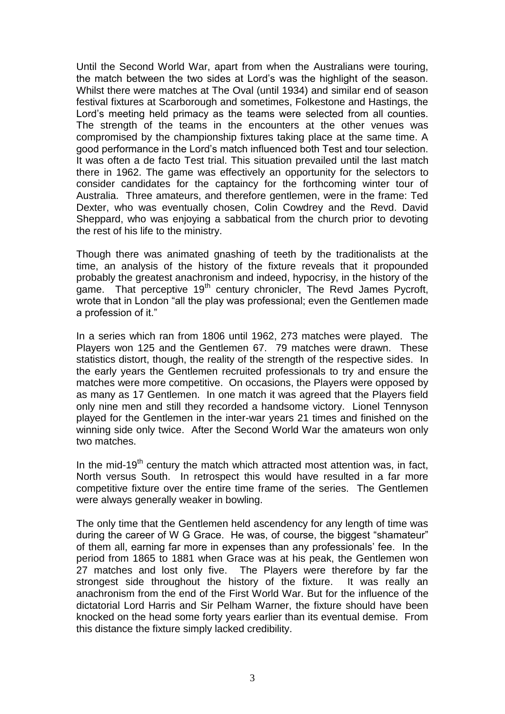Until the Second World War, apart from when the Australians were touring, the match between the two sides at Lord's was the highlight of the season. Whilst there were matches at The Oval (until 1934) and similar end of season festival fixtures at Scarborough and sometimes, Folkestone and Hastings, the Lord's meeting held primacy as the teams were selected from all counties. The strength of the teams in the encounters at the other venues was compromised by the championship fixtures taking place at the same time. A good performance in the Lord's match influenced both Test and tour selection. It was often a de facto Test trial. This situation prevailed until the last match there in 1962. The game was effectively an opportunity for the selectors to consider candidates for the captaincy for the forthcoming winter tour of Australia. Three amateurs, and therefore gentlemen, were in the frame: Ted Dexter, who was eventually chosen, Colin Cowdrey and the Revd. David Sheppard, who was enjoying a sabbatical from the church prior to devoting the rest of his life to the ministry.

Though there was animated gnashing of teeth by the traditionalists at the time, an analysis of the history of the fixture reveals that it propounded probably the greatest anachronism and indeed, hypocrisy, in the history of the game. That perceptive 19<sup>th</sup> century chronicler, The Revd James Pycroft, wrote that in London "all the play was professional; even the Gentlemen made a profession of it."

In a series which ran from 1806 until 1962, 273 matches were played. The Players won 125 and the Gentlemen 67. 79 matches were drawn. These statistics distort, though, the reality of the strength of the respective sides. In the early years the Gentlemen recruited professionals to try and ensure the matches were more competitive. On occasions, the Players were opposed by as many as 17 Gentlemen. In one match it was agreed that the Players field only nine men and still they recorded a handsome victory. Lionel Tennyson played for the Gentlemen in the inter-war years 21 times and finished on the winning side only twice. After the Second World War the amateurs won only two matches.

In the mid-19<sup>th</sup> century the match which attracted most attention was, in fact, North versus South. In retrospect this would have resulted in a far more competitive fixture over the entire time frame of the series. The Gentlemen were always generally weaker in bowling.

The only time that the Gentlemen held ascendency for any length of time was during the career of W G Grace. He was, of course, the biggest "shamateur" of them all, earning far more in expenses than any professionals' fee. In the period from 1865 to 1881 when Grace was at his peak, the Gentlemen won 27 matches and lost only five. The Players were therefore by far the strongest side throughout the history of the fixture. It was really an anachronism from the end of the First World War. But for the influence of the dictatorial Lord Harris and Sir Pelham Warner, the fixture should have been knocked on the head some forty years earlier than its eventual demise. From this distance the fixture simply lacked credibility.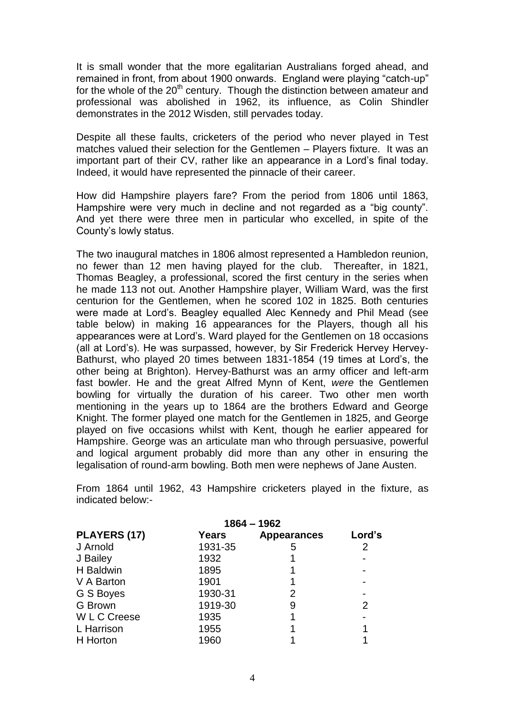It is small wonder that the more egalitarian Australians forged ahead, and remained in front, from about 1900 onwards. England were playing "catch-up" for the whole of the  $20<sup>th</sup>$  century. Though the distinction between amateur and professional was abolished in 1962, its influence, as Colin Shindler demonstrates in the 2012 Wisden, still pervades today.

Despite all these faults, cricketers of the period who never played in Test matches valued their selection for the Gentlemen – Players fixture. It was an important part of their CV, rather like an appearance in a Lord's final today. Indeed, it would have represented the pinnacle of their career.

How did Hampshire players fare? From the period from 1806 until 1863, Hampshire were very much in decline and not regarded as a "big county". And yet there were three men in particular who excelled, in spite of the County's lowly status.

The two inaugural matches in 1806 almost represented a Hambledon reunion, no fewer than 12 men having played for the club. Thereafter, in 1821, Thomas Beagley, a professional, scored the first century in the series when he made 113 not out. Another Hampshire player, William Ward, was the first centurion for the Gentlemen, when he scored 102 in 1825. Both centuries were made at Lord's. Beagley equalled Alec Kennedy and Phil Mead (see table below) in making 16 appearances for the Players, though all his appearances were at Lord's. Ward played for the Gentlemen on 18 occasions (all at Lord's). He was surpassed, however, by Sir Frederick Hervey Hervey-Bathurst, who played 20 times between 1831-1854 (19 times at Lord's, the other being at Brighton). Hervey-Bathurst was an army officer and left-arm fast bowler. He and the great Alfred Mynn of Kent, *were* the Gentlemen bowling for virtually the duration of his career. Two other men worth mentioning in the years up to 1864 are the brothers Edward and George Knight. The former played one match for the Gentlemen in 1825, and George played on five occasions whilst with Kent, though he earlier appeared for Hampshire. George was an articulate man who through persuasive, powerful and logical argument probably did more than any other in ensuring the legalisation of round-arm bowling. Both men were nephews of Jane Austen.

From 1864 until 1962, 43 Hampshire cricketers played in the fixture, as indicated below:-

|                   | $1864 - 1962$ |                    |                |
|-------------------|---------------|--------------------|----------------|
| PLAYERS (17)      | Years         | <b>Appearances</b> | Lord's         |
| J Arnold          | 1931-35       | 5                  | 2              |
| J Bailey          | 1932          |                    |                |
| H Baldwin         | 1895          |                    |                |
| V A Barton        | 1901          |                    |                |
| G S Boyes         | 1930-31       | 2                  |                |
| <b>G</b> Brown    | 1919-30       | 9                  | $\overline{2}$ |
| <b>WLC</b> Creese | 1935          |                    |                |
| L Harrison        | 1955          |                    |                |
| H Horton          | 1960          |                    |                |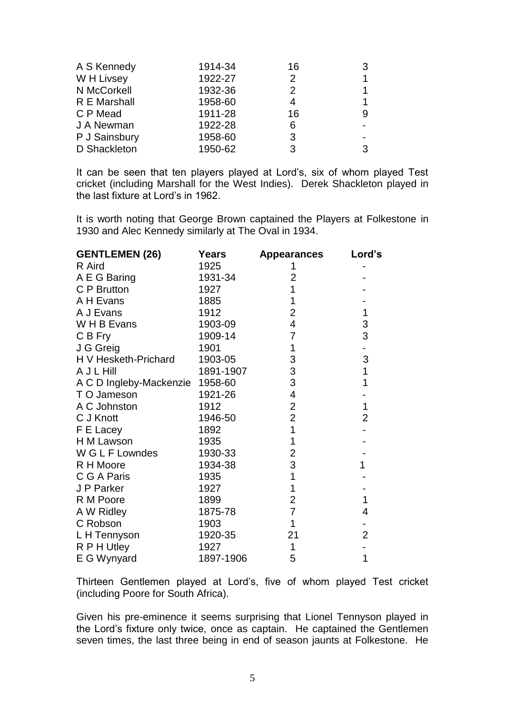| A S Kennedy   | 1914-34 | 16            | 3 |
|---------------|---------|---------------|---|
| W H Livsey    | 1922-27 | $\mathcal{P}$ |   |
| N McCorkell   | 1932-36 | $\mathcal{P}$ |   |
| R E Marshall  | 1958-60 | 4             |   |
| C P Mead      | 1911-28 | 16            | 9 |
| J A Newman    | 1922-28 | 6             |   |
| P J Sainsbury | 1958-60 | 3             |   |
| D Shackleton  | 1950-62 | 3             | 3 |

It can be seen that ten players played at Lord's, six of whom played Test cricket (including Marshall for the West Indies). Derek Shackleton played in the last fixture at Lord's in 1962.

It is worth noting that George Brown captained the Players at Folkestone in 1930 and Alec Kennedy similarly at The Oval in 1934.

| <b>GENTLEMEN (26)</b>   | <b>Years</b> | Appearances               | Lord's         |
|-------------------------|--------------|---------------------------|----------------|
| R Aird                  | 1925         | 1                         |                |
| A E G Baring            | 1931-34      | $\overline{2}$            |                |
| C P Brutton             | 1927         | 1                         |                |
| A H Evans               | 1885         | 1                         |                |
| A J Evans               | 1912         | $\overline{2}$            | $\mathbf 1$    |
| W H B Evans             | 1903-09      | $\overline{\mathbf{4}}$   | 3              |
| C B Fry                 | 1909-14      | $\overline{7}$            | 3              |
| J G Greig               | 1901         | $\mathbf 1$               |                |
| H V Hesketh-Prichard    | 1903-05      | 3                         | 3              |
| A J L Hill              | 1891-1907    | $\ensuremath{\mathsf{3}}$ | 1              |
| A C D Ingleby-Mackenzie | 1958-60      | $\ensuremath{\mathsf{3}}$ | 1              |
| T O Jameson             | 1921-26      | 4                         |                |
| A C Johnston            | 1912         | $\overline{2}$            | $\mathbf 1$    |
| C J Knott               | 1946-50      | $\overline{2}$            | $\overline{2}$ |
| F E Lacey               | 1892         | $\overline{1}$            |                |
| H M Lawson              | 1935         | 1                         |                |
| W G L F Lowndes         | 1930-33      | $\overline{2}$            |                |
| R H Moore               | 1934-38      | 3                         | 1              |
| C G A Paris             | 1935         | 1                         |                |
| J P Parker              | 1927         | 1                         |                |
| R M Poore               | 1899         | $\overline{2}$            | 1              |
| A W Ridley              | 1875-78      | $\overline{7}$            | 4              |
| C Robson                | 1903         | 1                         |                |
| L H Tennyson            | 1920-35      | 21                        | $\overline{2}$ |
| R P H Utley             | 1927         | $\mathbf 1$               |                |
| E G Wynyard             | 1897-1906    | 5                         | 1              |

Thirteen Gentlemen played at Lord's, five of whom played Test cricket (including Poore for South Africa).

Given his pre-eminence it seems surprising that Lionel Tennyson played in the Lord's fixture only twice, once as captain. He captained the Gentlemen seven times, the last three being in end of season jaunts at Folkestone. He